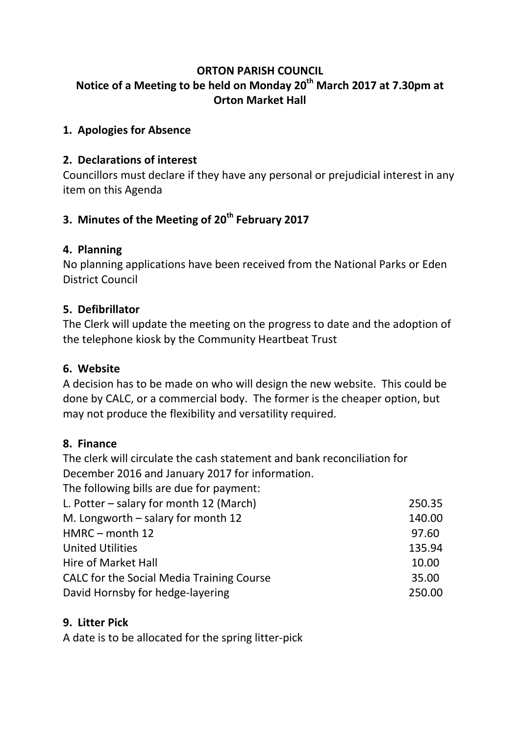## **ORTON PARISH COUNCIL Notice of a Meeting to be held on Monday 20th March 2017 at 7.30pm at Orton Market Hall**

#### **1. Apologies for Absence**

#### **2. Declarations of interest**

Councillors must declare if they have any personal or prejudicial interest in any item on this Agenda

# **3. Minutes of the Meeting of 20th February 2017**

#### **4. Planning**

No planning applications have been received from the National Parks or Eden District Council

#### **5. Defibrillator**

The Clerk will update the meeting on the progress to date and the adoption of the telephone kiosk by the Community Heartbeat Trust

#### **6. Website**

A decision has to be made on who will design the new website. This could be done by CALC, or a commercial body. The former is the cheaper option, but may not produce the flexibility and versatility required.

#### **8. Finance**

The clerk will circulate the cash statement and bank reconciliation for December 2016 and January 2017 for information.

The following bills are due for payment:

| L. Potter – salary for month 12 (March)   | 250.35 |
|-------------------------------------------|--------|
| M. Longworth $-$ salary for month 12      | 140.00 |
| HMRC - month 12                           | 97.60  |
| <b>United Utilities</b>                   | 135.94 |
| Hire of Market Hall                       | 10.00  |
| CALC for the Social Media Training Course | 35.00  |
| David Hornsby for hedge-layering          | 250.00 |
|                                           |        |

#### **9. Litter Pick**

A date is to be allocated for the spring litter-pick